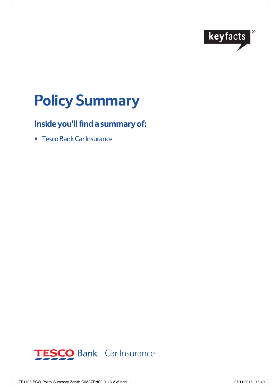

# **Policy Summary**

# **Inside you'll find a summary of:**

• Tesco Bank Car Insurance

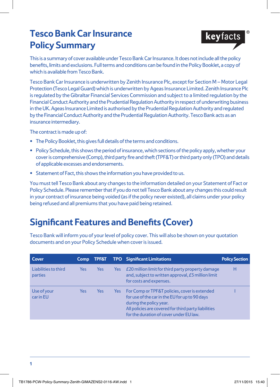# **Tesco Bank Car Insurance Policy Summary**



This is a summary of cover available under Tesco Bank Car Insurance. It does not include all the policy benefits, limits and exclusions. Full terms and conditions can be found in the Policy Booklet, a copy of which is available from Tesco Bank.

Tesco Bank Car Insurance is underwritten by Zenith Insurance Plc, except for Section M – Motor Legal Protection (Tesco Legal Guard) which is underwritten by Ageas Insurance Limited. Zenith Insurance Plc is regulated by the Gibraltar Financial Services Commission and subject to a limited regulation by the Financial Conduct Authority and the Prudential Regulation Authority in respect of underwriting business in the UK. Ageas Insurance Limited is authorised by the Prudential Regulation Authority and regulated by the Financial Conduct Authority and the Prudential Regulation Authority. Tesco Bank acts as an insurance intermediary.

The contract is made up of:

- The Policy Booklet, this gives full details of the terms and conditions.
- Policy Schedule, this shows the period of insurance, which sections of the policy apply, whether your cover is comprehensive (Comp), third party fire and theft (TPF&T) or third party only (TPO) and details of applicable excesses and endorsements.
- Statement of Fact, this shows the information you have provided to us.

You must tell Tesco Bank about any changes to the information detailed on your Statement of Fact or Policy Schedule. Please remember that if you do not tell Tesco Bank about any changes this could result in your contract of insurance being voided (as if the policy never existed), all claims under your policy being refused and all premiums that you have paid being retained.

# **Significant Features and Benefits (Cover)**

Tesco Bank will inform you of your level of policy cover. This will also be shown on your quotation documents and on your Policy Schedule when cover is issued.

| Cover                           | Comp | TPF&T      |      | <b>TPO</b> Significant Limitations                                                                                                                                                                                            | <b>Policy Section</b> |
|---------------------------------|------|------------|------|-------------------------------------------------------------------------------------------------------------------------------------------------------------------------------------------------------------------------------|-----------------------|
| Liabilities to third<br>parties | Yes  | <b>Yes</b> | Yes: | E20 million limit for third party property damage<br>and, subject to written approval, £5 million limit<br>for costs and expenses.                                                                                            | н                     |
| Use of your<br>car in EU        | Yes  | Yes        | Yes: | For Comp or TPF&T policies, cover is extended<br>for use of the car in the EU for up to 90 days<br>during the policy year.<br>All policies are covered for third party liabilities<br>for the duration of cover under EU law. |                       |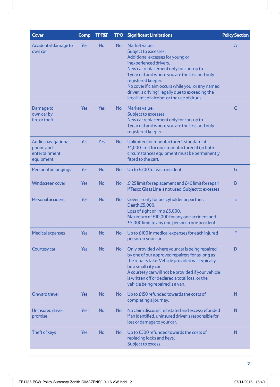| Cover                                                           | Comp       | <b>TPF&amp;T</b> | <b>TPO</b> | <b>Significant Limitations</b>                                                                                                                                                                                                                                                                                                                                                  | <b>Policy Section</b> |
|-----------------------------------------------------------------|------------|------------------|------------|---------------------------------------------------------------------------------------------------------------------------------------------------------------------------------------------------------------------------------------------------------------------------------------------------------------------------------------------------------------------------------|-----------------------|
| Accidental damage to<br>own car                                 | Yes        | <b>No</b>        | <b>No</b>  | Market value.<br>Subject to excesses.<br>Additional excesses for young or<br>inexperienced drivers.<br>New car replacement only for cars up to<br>1 year old and where you are the first and only<br>registered keeper.<br>No cover if claim occurs while you, or any named<br>driver, is driving illegally due to exceeding the<br>legal limit of alcohol or the use of drugs. | A                     |
| Damage to<br>own car by<br>fire or theft                        | Yes        | <b>Yes</b>       | <b>No</b>  | Market value.<br>Subject to excesses.<br>New car replacement only for cars up to<br>1 year old and where you are the first and only<br>registered keeper.                                                                                                                                                                                                                       | C                     |
| Audio, navigational,<br>phone and<br>entertainment<br>equipment | Yes        | <b>Yes</b>       | <b>No</b>  | Unlimited for manufacturer's standard fit.<br>£1,000 limit for non-manufacturer fit (in both<br>circumstances equipment must be permanently<br>fitted to the car).                                                                                                                                                                                                              | L                     |
| Personal belongings                                             | Yes        | <b>No</b>        | <b>No</b>  | Up to £200 for each incident.                                                                                                                                                                                                                                                                                                                                                   | G                     |
| <b>Windscreen cover</b>                                         | Yes        | <b>No</b>        | <b>No</b>  | $E$ 125 limit for replacement and $E$ 40 limit for repair<br>if Tesco Glass Line is not used. Subject to excesses.                                                                                                                                                                                                                                                              | B                     |
| Personal accident                                               | Yes        | <b>No</b>        | <b>No</b>  | Cover is only for policyholder or partner.<br>Death £5,000.<br>Loss of sight or limb £5,000.<br>Maximum of £10,000 for any one accident and<br>£5,000 limit to any one person in one accident.                                                                                                                                                                                  | Е                     |
| <b>Medical expenses</b>                                         | Yes        | <b>No</b>        | No         | Up to £100 in medical expenses for each injured<br>person in your car.                                                                                                                                                                                                                                                                                                          | F                     |
| Courtesy car                                                    | Yes        | <b>No</b>        | No         | Only provided where your car is being repaired<br>by one of our approved repairers for as long as<br>the repairs take. Vehicle provided will typically<br>be a small city car.<br>A courtesy car will not be provided if your vehicle<br>is written off or declared a total loss, or the<br>vehicle being repaired is a van.                                                    | D                     |
| <b>Onward travel</b>                                            | Yes        | <b>No</b>        | <b>No</b>  | Up to £150 refunded towards the costs of<br>completing a journey.                                                                                                                                                                                                                                                                                                               | N                     |
| Uninsured driver<br>promise                                     | <b>Yes</b> | <b>No</b>        | <b>No</b>  | No claim discount reinstated and excess refunded<br>if an identified, uninsured driver is responsible for<br>loss or damage to your car.                                                                                                                                                                                                                                        | N                     |
| Theft of keys                                                   | <b>Yes</b> | <b>No</b>        | No         | Up to £500 refunded towards the costs of<br>replacing locks and keys.<br>Subject to excess.                                                                                                                                                                                                                                                                                     | N                     |
|                                                                 |            |                  |            |                                                                                                                                                                                                                                                                                                                                                                                 |                       |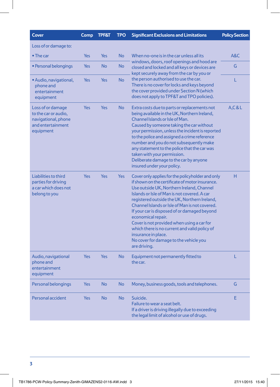| <b>Cover</b>                                                                                       | <b>Comp</b> | <b>TPF&amp;T</b> | <b>TPO</b> | <b>Significant Exclusions and Limitations</b>                                                                                                                                                                                                                                                                                                                                                                                                                                                                                                            | <b>Policy Section</b> |
|----------------------------------------------------------------------------------------------------|-------------|------------------|------------|----------------------------------------------------------------------------------------------------------------------------------------------------------------------------------------------------------------------------------------------------------------------------------------------------------------------------------------------------------------------------------------------------------------------------------------------------------------------------------------------------------------------------------------------------------|-----------------------|
| Loss of or damage to:                                                                              |             |                  |            |                                                                                                                                                                                                                                                                                                                                                                                                                                                                                                                                                          |                       |
| $\bullet$ The car                                                                                  | Yes         | <b>Yes</b>       | <b>No</b>  | When no-one is in the car unless all its<br>windows, doors, roof openings and hood are<br>closed and locked and all keys or devices are<br>kept securely away from the car by you or                                                                                                                                                                                                                                                                                                                                                                     | A&C                   |
| • Personal belongings                                                                              | Yes         | <b>No</b>        | No         |                                                                                                                                                                                                                                                                                                                                                                                                                                                                                                                                                          | G                     |
| · Audio, navigational,<br>phone and<br>entertainment<br>equipment                                  | Yes         | Yes              | <b>No</b>  | the person authorised to use the car.<br>There is no cover for locks and keys beyond<br>the cover provided under Section N (which<br>does not apply to TPF&T and TPO policies).                                                                                                                                                                                                                                                                                                                                                                          | Ĺ                     |
| Loss of or damage<br>to the car or audio,<br>navigational, phone<br>and entertainment<br>equipment | Yes         | <b>Yes</b>       | <b>No</b>  | Extra costs due to parts or replacements not<br>being available in the UK, Northern Ireland,<br>Channel Islands or Isle of Man.<br>Caused by someone taking the car without<br>your permission, unless the incident is reported<br>to the police and assigned a crime reference<br>number and you do not subsequently make<br>any statement to the police that the car was<br>taken with your permission.<br>Deliberate damage to the car by anyone<br>insured under your policy.                                                                        | A, C & L              |
| Liabilities to third<br>parties for driving<br>a car which does not<br>belong to you               | <b>Yes</b>  | Yes              | <b>Yes</b> | Cover only applies for the policyholder and only<br>if shown on the certificate of motor insurance.<br>Use outside UK, Northern Ireland, Channel<br>Islands or Isle of Man is not covered. A car<br>registered outside the UK, Northern Ireland,<br>Channel Islands or Isle of Man is not covered.<br>If your car is disposed of or damaged beyond<br>economical repair.<br>Cover is not provided when using a car for<br>which there is no current and valid policy of<br>insurance in place.<br>No cover for damage to the vehicle you<br>are driving. | н                     |
| Audio, navigational<br>phone and<br>entertainment<br>equipment                                     | Yes         | Yes              | <b>No</b>  | Equipment not permanently fitted to<br>the car.                                                                                                                                                                                                                                                                                                                                                                                                                                                                                                          | L                     |
| Personal belongings                                                                                | Yes         | <b>No</b>        | <b>No</b>  | Money, business goods, tools and telephones.                                                                                                                                                                                                                                                                                                                                                                                                                                                                                                             | G                     |
| Personal accident                                                                                  | Yes         | <b>No</b>        | <b>No</b>  | Suicide.<br>Failure to wear a seat belt.<br>If a driver is driving illegally due to exceeding<br>the legal limit of alcohol or use of drugs.                                                                                                                                                                                                                                                                                                                                                                                                             | E                     |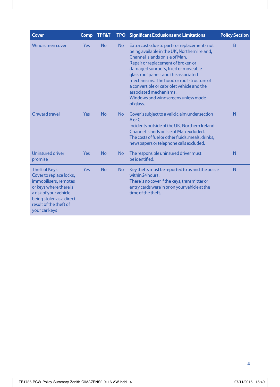| Cover                                                                                                                                                                                               | Comp       | <b>TPF&amp;T</b> |           | TPO Significant Exclusions and Limitations                                                                                                                                                                                                                                                                                                                                                                                    | <b>Policy Section</b> |
|-----------------------------------------------------------------------------------------------------------------------------------------------------------------------------------------------------|------------|------------------|-----------|-------------------------------------------------------------------------------------------------------------------------------------------------------------------------------------------------------------------------------------------------------------------------------------------------------------------------------------------------------------------------------------------------------------------------------|-----------------------|
| Windscreen cover                                                                                                                                                                                    | <b>Yes</b> | <b>No</b>        | <b>No</b> | Extra costs due to parts or replacements not<br>being available in the UK, Northern Ireland,<br>Channel Islands or Isle of Man.<br>Repair or replacement of broken or<br>damaged sunroofs, fixed or moveable<br>glass roof panels and the associated<br>mechanisms. The hood or roof structure of<br>a convertible or cabriolet vehicle and the<br>associated mechanisms.<br>Windows and windscreens unless made<br>of glass. | B                     |
| Onward travel                                                                                                                                                                                       | <b>Yes</b> | <b>No</b>        | <b>No</b> | Cover is subject to a valid claim under section<br>$A$ or $C$ .<br>Incidents outside of the UK, Northern Ireland,<br>Channel Islands or Isle of Man excluded.<br>The costs of fuel or other fluids, meals, drinks,<br>newspapers or telephone calls excluded.                                                                                                                                                                 | N                     |
| <b>Uninsured driver</b><br>promise                                                                                                                                                                  | <b>Yes</b> | <b>No</b>        | <b>No</b> | The responsible uninsured driver must<br>be identified.                                                                                                                                                                                                                                                                                                                                                                       | N                     |
| <b>Theft of Keys</b><br>Cover to replace locks,<br>immobilisers, remotes<br>or keys where there is<br>a risk of your vehicle<br>being stolen as a direct<br>result of the theft of<br>your car keys | <b>Yes</b> | <b>No</b>        | <b>No</b> | Key thefts must be reported to us and the police<br>within 24 hours.<br>There is no cover if the keys, transmitter or<br>entry cards were in or on your vehicle at the<br>time of the theft.                                                                                                                                                                                                                                  |                       |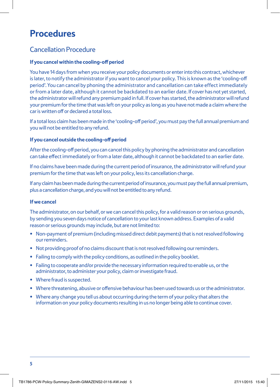# **Procedures**

### Cancellation Procedure

#### **If you cancel within the cooling-off period**

You have 14 days from when you receive your policy documents or enter into this contract, whichever is later, to notify the administrator if you want to cancel your policy. This is known as the 'cooling-off period'. You can cancel by phoning the administrator and cancellation can take effect immediately or from a later date, although it cannot be backdated to an earlier date. If cover has not yet started, the administrator will refund any premium paid in full. If cover has started, the administrator will refund your premium for the time that was left on your policy as long as you have not made a claim where the car is written off or declared a total loss.

If a total loss claim has been made in the 'cooling-off period', you must pay the full annual premium and you will not be entitled to any refund.

#### **If you cancel outside the cooling-off period**

After the cooling-off period, you can cancel this policy by phoning the administrator and cancellation can take effect immediately or from a later date, although it cannot be backdated to an earlier date.

If no claims have been made during the current period of insurance, the administrator will refund your premium for the time that was left on your policy, less its cancellation charge.

If any claim has been made during the current period of insurance, you must pay the full annual premium, plus a cancellation charge, and you will not be entitled to any refund.

#### **If we cancel**

The administrator, on our behalf, or we can cancel this policy, for a valid reason or on serious grounds, by sending you seven days notice of cancellation to your last known address. Examples of a valid reason or serious grounds may include, but are not limited to:

- Non-payment of premium (including missed direct debit payments) that is not resolved following our reminders.
- Not providing proof of no claims discount that is not resolved following our reminders.
- Failing to comply with the policy conditions, as outlined in the policy booklet.
- Failing to cooperate and/or provide the necessary information required to enable us, or the administrator, to administer your policy, claim or investigate fraud.
- Where fraud is suspected.
- Where threatening, abusive or offensive behaviour has been used towards us or the administrator.
- Where any change you tell us about occurring during the term of your policy that alters the information on your policy documents resulting in us no longer being able to continue cover.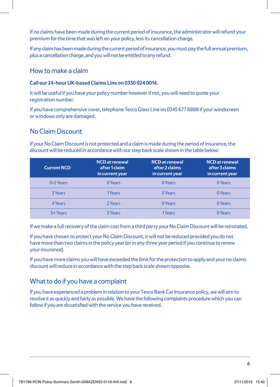If no claims have been made during the current period of insurance, the administrator will refund your premium for the time that was left on your policy, less its cancellation charge.

If any claim has been made during the current period of insurance, you must pay the full annual premium, plus a cancellation charge, and you will not be entitled to any refund.

### How to make a claim

### **Call our 24-hour UK-based Claims Line on 0330 024 0014.**

It will be useful if you have your policy number however if not, you will need to quote your registration number.

If you have comprehensive cover, telephone Tesco Glass Line on 0345 677 8888 if your windscreen or windows only are damaged.

## No Claim Discount

If your No Claim Discount is not protected and a claim is made during the period of insurance, the discount will be reduced in accordance with our step back scale shown in the table below:

| <b>Current NCD</b> | <b>NCD</b> at renewal<br>after 1 claim<br>in current year | <b>NCD</b> at renewal<br>after 2 claims<br>in current year | <b>NCD</b> at renewal<br>after 3 claims<br>in current year |
|--------------------|-----------------------------------------------------------|------------------------------------------------------------|------------------------------------------------------------|
| 0-2 Years          | 0 Years                                                   | 0 Years                                                    | 0 Years                                                    |
| 3 Years            | 1Years                                                    | 0 Years                                                    | 0 Years                                                    |
| 4 Years            | 2 Years                                                   | 0 Years                                                    | 0 Years                                                    |
| 5+ Years           | <b>3 Years</b>                                            | 1Years                                                     | 0 Years                                                    |

If we make a full recovery of the claim cost from a third party your No Claim Discount will be reinstated.

If you have chosen to protect your No Claim Discount, it will not be reduced provided you do not have more than two claims in the policy year (or in any three year period if you continue to renew your insurance).

If you have more claims you will have exceeded the limit for the protection to apply and your no claims discount will reduce in accordance with the step back scale shown opposite.

# What to do if you have a complaint

If you have experienced a problem in relation to your Tesco Bank Car Insurance policy, we will aim to resolve it as quickly and fairly as possible. We have the following complaints procedure which you can follow if you are dissatisfied with the service you have received.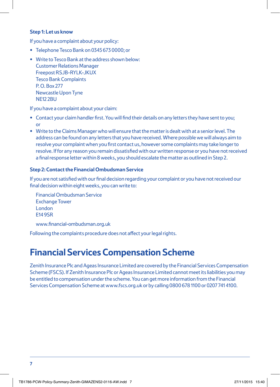#### **Step 1: Let us know**

If you have a complaint about your policy:

- Telephone Tesco Bank on 0345 673 0000; or
- Write to Tesco Bank at the address shown below: Customer Relations Manager Freepost RSJB-RYLK-JKUX Tesco Bank Complaints P. O. Box 277 Newcastle Upon Tyne NF<sub>12</sub> 2BU

If you have a complaint about your claim:

- Contact your claim handler first. You will find their details on any letters they have sent to you; or
- Write to the Claims Manager who will ensure that the matter is dealt with at a senior level. The address can be found on any letters that you have received. Where possible we will always aim to resolve your complaint when you first contact us, however some complaints may take longer to resolve. If for any reason you remain dissatisfied with our written response or you have not received a final response letter within 8 weeks, you should escalate the matter as outlined in Step 2.

#### **Step 2: Contact the Financial Ombudsman Service**

If you are not satisfied with our final decision regarding your complaint or you have not received our final decision within eight weeks, you can write to:

Financial Ombudsman Service Exchange Tower London E14 9SR

www.financial-ombudsman.org.uk

Following the complaints procedure does not affect your legal rights.

# **Financial Services Compensation Scheme**

Zenith Insurance Plc and Ageas Insurance Limited are covered by the Financial Services Compensation Scheme (FSCS). If Zenith Insurance Plc or Ageas Insurance Limited cannot meet its liabilities you may be entitled to compensation under the scheme. You can get more information from the Financial Services Compensation Scheme at www.fscs.org.uk or by calling 0800 678 1100 or 0207 741 4100.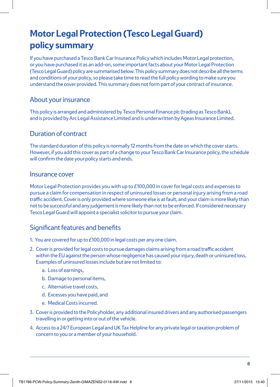# **Motor Legal Protection (Tesco Legal Guard) policy summary**

If you have purchased a Tesco Bank Car Insurance Policy which includes Motor Legal protection, or you have purchased it as an add-on, some important facts about your Motor Legal Protection (Tesco Legal Guard) policy are summarised below. This policy summary does not describe all the terms and conditions of your policy, so please take time to read the full policy wording to make sure you understand the cover provided. This summary does not form part of your contract of insurance.

### About your insurance

This policy is arranged and administered by Tesco Personal Finance plc (trading as Tesco Bank), and is provided by Arc Legal Assistance Limited and is underwritten by Ageas Insurance Limited.

### Duration of contract

The standard duration of this policy is normally 12 months from the date on which the cover starts. However, if you add this cover as part of a change to your Tesco Bank Car Insurance policy, the schedule will confirm the date your policy starts and ends.

### Insurance cover

Motor Legal Protection provides you with up to £100,000 in cover for legal costs and expenses to pursue a claim for compensation in respect of uninsured losses or personal injury arising from a road traffic accident. Cover is only provided where someone else is at fault, and your claim is more likely than not to be successful and any judgement is more likely than not to be enforced. If considered necessary Tesco Legal Guard will appoint a specialist solicitor to pursue your claim.

### Significant features and benefits

- 1. You are covered for up to £100,000 in legal costs per any one claim.
- 2. Cover is provided for legal costs to pursue damages claims arising from a road traffic accident within the EU against the person whose negligence has caused your injury, death or uninsured loss. Examples of uninsured losses include but are not limited to:
	- a. Loss of earnings,
	- b. Damage to personal items,
	- c. Alternative travel costs,
	- d. Excesses you have paid, and
	- e. Medical Costs incurred.
- 3. Cover is provided to the Policyholder, any additional insured drivers and any authorised passengers travelling in or getting into or out of the vehicle.
- 4. Access to a 24/7 European Legal and UK Tax Helpline for any private legal or taxation problem of concern to you or a member of your household.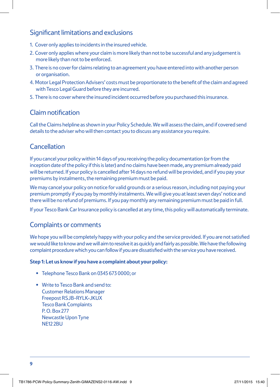### Significant limitations and exclusions

- 1. Cover only applies to incidents in the insured vehicle.
- 2. Cover only applies where your claim is more likely than not to be successful and any judgement is more likely than not to be enforced.
- 3. There is no cover for claims relating to an agreement you have entered into with another person or organisation.
- 4. Motor Legal Protection Advisers' costs must be proportionate to the benefit of the claim and agreed with Tesco Legal Guard before they are incurred.
- 5. There is no cover where the insured incident occurred before you purchased this insurance.

### Claim notification

Call the Claims helpline as shown in your Policy Schedule. We will assess the claim, and if covered send details to the adviser who will then contact you to discuss any assistance you require.

## Cancellation

If you cancel your policy within 14 days of you receiving the policy documentation (or from the inception date of the policy if this is later) and no claims have been made, any premium already paid will be returned. If your policy is cancelled after 14 days no refund will be provided, and if you pay your premiums by instalments, the remaining premium must be paid.

We may cancel your policy on notice for valid grounds or a serious reason, including not paying your premium promptly if you pay by monthly instalments. We will give you at least seven days' notice and there will be no refund of premiums. If you pay monthly any remaining premium must be paid in full.

If your Tesco Bank Car Insurance policy is cancelled at any time, this policy will automatically terminate.

### Complaints or comments

We hope you will be completely happy with your policy and the service provided. If you are not satisfied we would like to know and we will aim to resolve it as quickly and fairly as possible. We have the following complaint procedure which you can follow if you are dissatisfied with the service you have received.

### **Step 1: Let us know if you have a complaint about your policy:**

- Telephone Tesco Bank on 0345 673 0000; or
- Write to Tesco Bank and send to: Customer Relations Manager Freepost RSJB-RYLK-JKUX Tesco Bank Complaints P. O. Box 277 Newcastle Upon Tyne NE12 2BU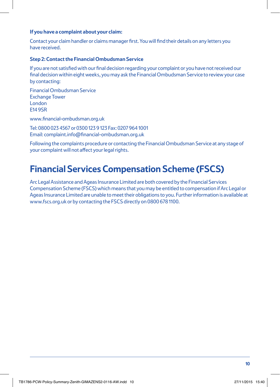#### **If you have a complaint about your claim:**

Contact your claim handler or claims manager first. You will find their details on any letters you have received.

#### **Step 2: Contact the Financial Ombudsman Service**

If you are not satisfied with our final decision regarding your complaint or you have not received our final decision within eight weeks, you may ask the Financial Ombudsman Service to review your case by contacting:

Financial Ombudsman Service Exchange Tower London E14 9SR

www.financial-ombudsman.org.uk

Tel: 0800 023 4567 or 0300 123 9 123 Fax: 0207 964 1001 Email: complaint.info@financial-ombudsman.org.uk

Following the complaints procedure or contacting the Financial Ombudsman Service at any stage of your complaint will not affect your legal rights.

# **Financial Services Compensation Scheme (FSCS)**

Arc Legal Assistance and Ageas Insurance Limited are both covered by the Financial Services Compensation Scheme (FSCS) which means that you may be entitled to compensation if Arc Legal or Ageas Insurance Limited are unable to meet their obligations to you. Further information is available at www.fscs.org.uk or by contacting the FSCS directly on 0800 678 1100.